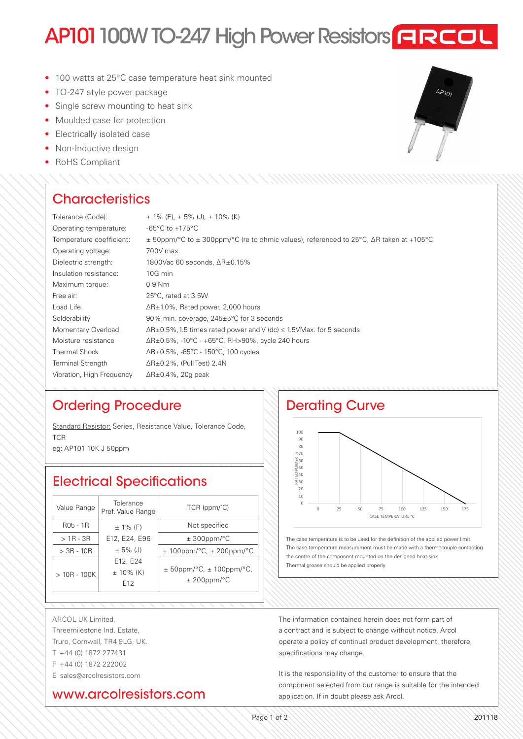# AP101 100W TO-247 High Power Resistors **FIREOL**

- 100 watts at 25°C case temperature heat sink mounted
- TO-247 style power package
- Single screw mounting to heat sink
- Moulded case for protection
- Electrically isolated case
- Non-Inductive design
- RoHS Compliant

# **Characteristics**

| Tolerance (Code):         | $\pm$ 1% (F), $\pm$ 5% (J), $\pm$ 10% (K)                                                              |  |
|---------------------------|--------------------------------------------------------------------------------------------------------|--|
| Operating temperature:    | $-65^{\circ}$ C to $+175^{\circ}$ C                                                                    |  |
| Temperature coefficient:  | $\pm$ 50ppm/°C to $\pm$ 300ppm/°C (re to ohmic values), referenced to 25°C, $\Delta$ R taken at +105°C |  |
| Operating voltage:        | 700V max                                                                                               |  |
| Dielectric strength:      | 1800Vac 60 seconds, $\Delta R \pm 0.15\%$                                                              |  |
| Insulation resistance:    | 10G min                                                                                                |  |
| Maximum torque:           | $0.9$ Nm                                                                                               |  |
| Free air:                 | 25°C, rated at 3.5W                                                                                    |  |
| Load Life                 | $\Delta$ R $\pm$ 1.0%, Rated power, 2,000 hours                                                        |  |
| Solderability             | 90% min. coverage, 245±5°C for 3 seconds                                                               |  |
| Momentary Overload        | $\Delta R \pm 0.5$ %, 1.5 times rated power and V (dc) $\leq$ 1.5VMax. for 5 seconds                   |  |
| Moisture resistance       | $\Delta$ R $\pm$ 0.5%, -10°C - +65°C, RH>90%, cycle 240 hours                                          |  |
| <b>Thermal Shock</b>      | $\Delta$ R±0.5%, -65°C - 150°C, 100 cycles                                                             |  |
| <b>Terminal Strength</b>  | $\Delta$ R $\pm$ 0.2%, (Pull Test) 2.4N                                                                |  |
| Vibration, High Freguency | $\Delta$ R $\pm$ 0.4%, 20g peak                                                                        |  |
|                           |                                                                                                        |  |

# Ordering Procedure

Standard Resistor: Series, Resistance Value, Tolerance Code, TCR eg: AP101 10K J 50ppm

Electrical Specifications

| Value Range   | Tolerance<br>Pref. Value Range              | $TCR$ (ppm/ $^{\circ}$ C)                              |
|---------------|---------------------------------------------|--------------------------------------------------------|
| $RO5 - 1R$    | $± 1\%$ (F)                                 | Not specified                                          |
| $>1R - 3R$    | E12, E24, E96                               | $\pm$ 300ppm/°C                                        |
| $> 3R - 10R$  | $\pm$ 5% (J)                                | $± 100$ ppm/°C, $± 200$ ppm/°C                         |
| $>10R - 100K$ | E12, E24<br>$± 10\%$ (K)<br>F <sub>12</sub> | $±$ 50ppm/ $°C$ , $±$ 100ppm/ $°C$ ,<br>$± 200$ ppm/°C |

# Derating Curve



The case temperature is to be used for the definition of the applied power limit The case temperature measurement must be made with a thermocouple contacting the centre of the component mounted on the designed heat sink Thermal grease should be applied properly

ARCOL UK Limited, Threemilestone Ind. Estate, Truro, Cornwall, TR4 9LG, UK. T +44 (0) 1872 277431

- 
- F +44 (0) 1872 222002

E sales@arcolresistors.com

## www.arcolresistors.com

The information contained herein does not form part of a contract and is subject to change without notice. Arcol operate a policy of continual product development, therefore, specifications may change.

It is the responsibility of the customer to ensure that the component selected from our range is suitable for the intended application. If in doubt please ask Arcol.